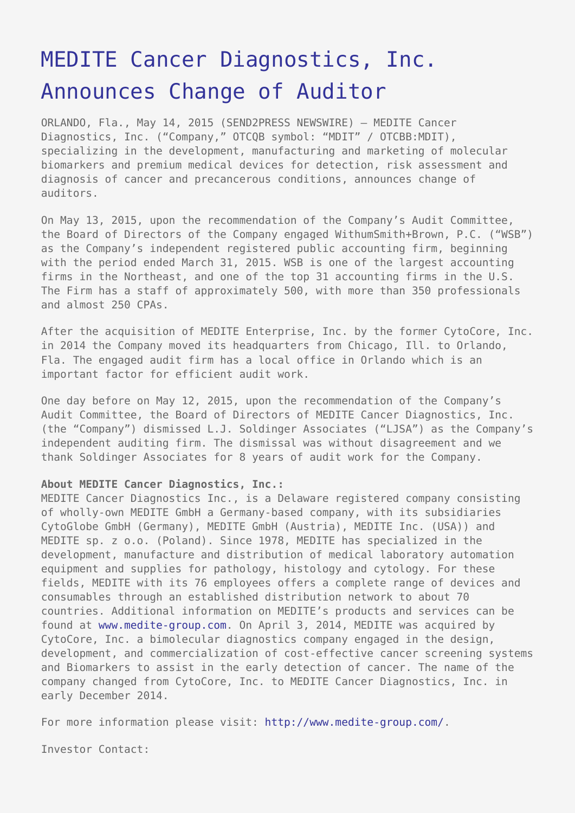## [MEDITE Cancer Diagnostics, Inc.](https://www.send2press.com/wire/medite-cancer-diagnostics-inc-announces-change-of-auditor-2015-0514-04/) [Announces Change of Auditor](https://www.send2press.com/wire/medite-cancer-diagnostics-inc-announces-change-of-auditor-2015-0514-04/)

ORLANDO, Fla., May 14, 2015 (SEND2PRESS NEWSWIRE) — MEDITE Cancer Diagnostics, Inc. ("Company," OTCQB symbol: "MDIT" / OTCBB:MDIT), specializing in the development, manufacturing and marketing of molecular biomarkers and premium medical devices for detection, risk assessment and diagnosis of cancer and precancerous conditions, announces change of auditors.

On May 13, 2015, upon the recommendation of the Company's Audit Committee, the Board of Directors of the Company engaged WithumSmith+Brown, P.C. ("WSB") as the Company's independent registered public accounting firm, beginning with the period ended March 31, 2015. WSB is one of the largest accounting firms in the Northeast, and one of the top 31 accounting firms in the U.S. The Firm has a staff of approximately 500, with more than 350 professionals and almost 250 CPAs.

After the acquisition of MEDITE Enterprise, Inc. by the former CytoCore, Inc. in 2014 the Company moved its headquarters from Chicago, Ill. to Orlando, Fla. The engaged audit firm has a local office in Orlando which is an important factor for efficient audit work.

One day before on May 12, 2015, upon the recommendation of the Company's Audit Committee, the Board of Directors of MEDITE Cancer Diagnostics, Inc. (the "Company") dismissed L.J. Soldinger Associates ("LJSA") as the Company's independent auditing firm. The dismissal was without disagreement and we thank Soldinger Associates for 8 years of audit work for the Company.

## **About MEDITE Cancer Diagnostics, Inc.:**

MEDITE Cancer Diagnostics Inc., is a Delaware registered company consisting of wholly-own MEDITE GmbH a Germany-based company, with its subsidiaries CytoGlobe GmbH (Germany), MEDITE GmbH (Austria), MEDITE Inc. (USA)) and MEDITE sp. z o.o. (Poland). Since 1978, MEDITE has specialized in the development, manufacture and distribution of medical laboratory automation equipment and supplies for pathology, histology and cytology. For these fields, MEDITE with its 76 employees offers a complete range of devices and consumables through an established distribution network to about 70 countries. Additional information on MEDITE's products and services can be found at [www.medite-group.com.](http://www.medite-group.com/) On April 3, 2014, MEDITE was acquired by CytoCore, Inc. a bimolecular diagnostics company engaged in the design, development, and commercialization of cost-effective cancer screening systems and Biomarkers to assist in the early detection of cancer. The name of the company changed from CytoCore, Inc. to MEDITE Cancer Diagnostics, Inc. in early December 2014.

For more information please visit: [http://www.medite-group.com/.](http://www.medite-group.com/)

Investor Contact: